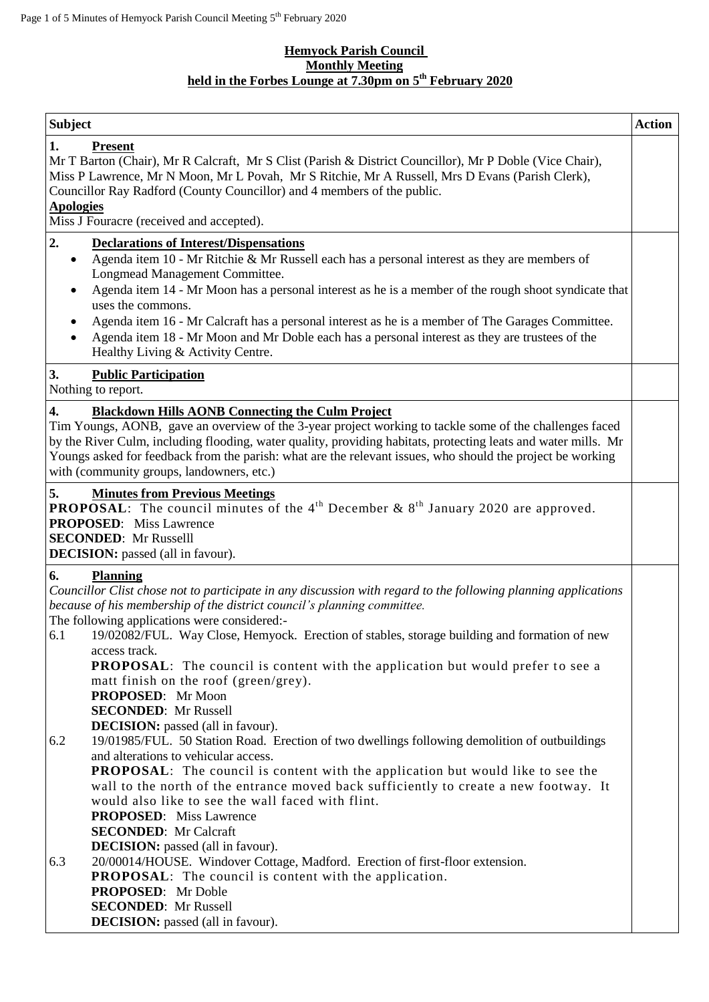### **Hemyock Parish Council Monthly Meeting held in the Forbes Lounge at 7.30pm on 5 th February 2020**

| <b>Subject</b>                                                                                                                                                                                                                                                                                                                                                                                                                                        | <b>Action</b> |
|-------------------------------------------------------------------------------------------------------------------------------------------------------------------------------------------------------------------------------------------------------------------------------------------------------------------------------------------------------------------------------------------------------------------------------------------------------|---------------|
| 1.<br><b>Present</b><br>Mr T Barton (Chair), Mr R Calcraft, Mr S Clist (Parish & District Councillor), Mr P Doble (Vice Chair),<br>Miss P Lawrence, Mr N Moon, Mr L Povah, Mr S Ritchie, Mr A Russell, Mrs D Evans (Parish Clerk),<br>Councillor Ray Radford (County Councillor) and 4 members of the public.<br><b>Apologies</b><br>Miss J Fouracre (received and accepted).                                                                         |               |
| 2.<br><b>Declarations of Interest/Dispensations</b><br>Agenda item 10 - Mr Ritchie & Mr Russell each has a personal interest as they are members of<br>$\bullet$                                                                                                                                                                                                                                                                                      |               |
| Longmead Management Committee.<br>Agenda item 14 - Mr Moon has a personal interest as he is a member of the rough shoot syndicate that<br>uses the commons.                                                                                                                                                                                                                                                                                           |               |
| Agenda item 16 - Mr Calcraft has a personal interest as he is a member of The Garages Committee.<br>$\bullet$<br>Agenda item 18 - Mr Moon and Mr Doble each has a personal interest as they are trustees of the<br>Healthy Living & Activity Centre.                                                                                                                                                                                                  |               |
| 3.<br><b>Public Participation</b><br>Nothing to report.                                                                                                                                                                                                                                                                                                                                                                                               |               |
| <b>Blackdown Hills AONB Connecting the Culm Project</b><br>4.<br>Tim Youngs, AONB, gave an overview of the 3-year project working to tackle some of the challenges faced<br>by the River Culm, including flooding, water quality, providing habitats, protecting leats and water mills. Mr<br>Youngs asked for feedback from the parish: what are the relevant issues, who should the project be working<br>with (community groups, landowners, etc.) |               |
| 5.<br><b>Minutes from Previous Meetings</b><br><b>PROPOSAL:</b> The council minutes of the 4 <sup>th</sup> December & $8th$ January 2020 are approved.<br><b>PROPOSED:</b> Miss Lawrence<br><b>SECONDED:</b> Mr Russelll<br><b>DECISION:</b> passed (all in favour).                                                                                                                                                                                  |               |
| <b>Planning</b><br>6.<br>Councillor Clist chose not to participate in any discussion with regard to the following planning applications<br>because of his membership of the district council's planning committee.                                                                                                                                                                                                                                    |               |
| The following applications were considered:-<br>19/02082/FUL. Way Close, Hemyock. Erection of stables, storage building and formation of new<br>6.1                                                                                                                                                                                                                                                                                                   |               |
| access track.<br><b>PROPOSAL:</b> The council is content with the application but would prefer to see a<br>matt finish on the roof (green/grey).                                                                                                                                                                                                                                                                                                      |               |
| PROPOSED: Mr Moon<br><b>SECONDED:</b> Mr Russell                                                                                                                                                                                                                                                                                                                                                                                                      |               |
| <b>DECISION:</b> passed (all in favour).<br>19/01985/FUL. 50 Station Road. Erection of two dwellings following demolition of outbuildings<br>6.2                                                                                                                                                                                                                                                                                                      |               |
| and alterations to vehicular access.<br><b>PROPOSAL:</b> The council is content with the application but would like to see the<br>wall to the north of the entrance moved back sufficiently to create a new footway. It                                                                                                                                                                                                                               |               |
| would also like to see the wall faced with flint.<br><b>PROPOSED:</b> Miss Lawrence                                                                                                                                                                                                                                                                                                                                                                   |               |
| <b>SECONDED:</b> Mr Calcraft<br><b>DECISION:</b> passed (all in favour).                                                                                                                                                                                                                                                                                                                                                                              |               |
| 20/00014/HOUSE. Windover Cottage, Madford. Erection of first-floor extension.<br>6.3<br><b>PROPOSAL:</b> The council is content with the application.                                                                                                                                                                                                                                                                                                 |               |
| <b>PROPOSED:</b> Mr Doble<br><b>SECONDED:</b> Mr Russell                                                                                                                                                                                                                                                                                                                                                                                              |               |
| <b>DECISION:</b> passed (all in favour).                                                                                                                                                                                                                                                                                                                                                                                                              |               |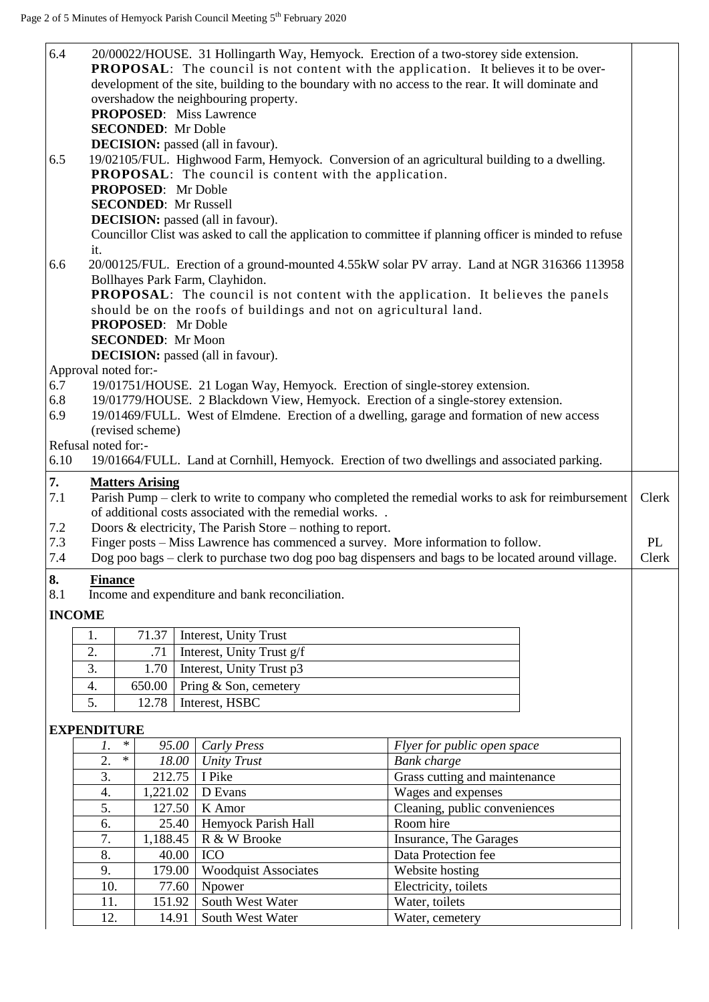| 6.4<br>6.5<br>6.6 | it.                  |        | <b>SECONDED:</b> Mr Doble<br><b>PROPOSED:</b> Mr Doble<br>PROPOSED: Mr Doble<br><b>SECONDED:</b> Mr Moon |        | 20/00022/HOUSE. 31 Hollingarth Way, Hemyock. Erection of a two-storey side extension.<br><b>PROPOSAL:</b> The council is not content with the application. It believes it to be over-<br>development of the site, building to the boundary with no access to the rear. It will dominate and<br>overshadow the neighbouring property.<br><b>PROPOSED:</b> Miss Lawrence<br><b>DECISION:</b> passed (all in favour).<br>19/02105/FUL. Highwood Farm, Hemyock. Conversion of an agricultural building to a dwelling.<br><b>PROPOSAL:</b> The council is content with the application.<br><b>SECONDED:</b> Mr Russell<br><b>DECISION:</b> passed (all in favour).<br>Councillor Clist was asked to call the application to committee if planning officer is minded to refuse<br>20/00125/FUL. Erection of a ground-mounted 4.55kW solar PV array. Land at NGR 316366 113958<br>Bollhayes Park Farm, Clayhidon.<br>PROPOSAL: The council is not content with the application. It believes the panels<br>should be on the roofs of buildings and not on agricultural land. |                               |       |
|-------------------|----------------------|--------|----------------------------------------------------------------------------------------------------------|--------|----------------------------------------------------------------------------------------------------------------------------------------------------------------------------------------------------------------------------------------------------------------------------------------------------------------------------------------------------------------------------------------------------------------------------------------------------------------------------------------------------------------------------------------------------------------------------------------------------------------------------------------------------------------------------------------------------------------------------------------------------------------------------------------------------------------------------------------------------------------------------------------------------------------------------------------------------------------------------------------------------------------------------------------------------------------------|-------------------------------|-------|
|                   |                      |        |                                                                                                          |        | DECISION: passed (all in favour).                                                                                                                                                                                                                                                                                                                                                                                                                                                                                                                                                                                                                                                                                                                                                                                                                                                                                                                                                                                                                                    |                               |       |
|                   | Approval noted for:- |        |                                                                                                          |        |                                                                                                                                                                                                                                                                                                                                                                                                                                                                                                                                                                                                                                                                                                                                                                                                                                                                                                                                                                                                                                                                      |                               |       |
| 6.7               |                      |        |                                                                                                          |        | 19/01751/HOUSE. 21 Logan Way, Hemyock. Erection of single-storey extension.                                                                                                                                                                                                                                                                                                                                                                                                                                                                                                                                                                                                                                                                                                                                                                                                                                                                                                                                                                                          |                               |       |
| 6.8               |                      |        |                                                                                                          |        | 19/01779/HOUSE. 2 Blackdown View, Hemyock. Erection of a single-storey extension.                                                                                                                                                                                                                                                                                                                                                                                                                                                                                                                                                                                                                                                                                                                                                                                                                                                                                                                                                                                    |                               |       |
| 6.9               |                      |        |                                                                                                          |        | 19/01469/FULL. West of Elmdene. Erection of a dwelling, garage and formation of new access                                                                                                                                                                                                                                                                                                                                                                                                                                                                                                                                                                                                                                                                                                                                                                                                                                                                                                                                                                           |                               |       |
|                   | Refusal noted for:-  |        | (revised scheme)                                                                                         |        |                                                                                                                                                                                                                                                                                                                                                                                                                                                                                                                                                                                                                                                                                                                                                                                                                                                                                                                                                                                                                                                                      |                               |       |
| 6.10              |                      |        |                                                                                                          |        | 19/01664/FULL. Land at Cornhill, Hemyock. Erection of two dwellings and associated parking.                                                                                                                                                                                                                                                                                                                                                                                                                                                                                                                                                                                                                                                                                                                                                                                                                                                                                                                                                                          |                               |       |
|                   |                      |        |                                                                                                          |        |                                                                                                                                                                                                                                                                                                                                                                                                                                                                                                                                                                                                                                                                                                                                                                                                                                                                                                                                                                                                                                                                      |                               |       |
| 7.                |                      |        | <b>Matters Arising</b>                                                                                   |        |                                                                                                                                                                                                                                                                                                                                                                                                                                                                                                                                                                                                                                                                                                                                                                                                                                                                                                                                                                                                                                                                      |                               |       |
| 7.1               |                      |        |                                                                                                          |        | Parish Pump – clerk to write to company who completed the remedial works to ask for reimbursement                                                                                                                                                                                                                                                                                                                                                                                                                                                                                                                                                                                                                                                                                                                                                                                                                                                                                                                                                                    |                               | Clerk |
|                   |                      |        |                                                                                                          |        | of additional costs associated with the remedial works                                                                                                                                                                                                                                                                                                                                                                                                                                                                                                                                                                                                                                                                                                                                                                                                                                                                                                                                                                                                               |                               |       |
| 7.2               |                      |        |                                                                                                          |        | Doors $\&$ electricity, The Parish Store – nothing to report.                                                                                                                                                                                                                                                                                                                                                                                                                                                                                                                                                                                                                                                                                                                                                                                                                                                                                                                                                                                                        |                               |       |
| 7.3               |                      |        |                                                                                                          |        | Finger posts – Miss Lawrence has commenced a survey. More information to follow.                                                                                                                                                                                                                                                                                                                                                                                                                                                                                                                                                                                                                                                                                                                                                                                                                                                                                                                                                                                     |                               | PL    |
| 7.4               |                      |        |                                                                                                          |        | Dog poo bags – clerk to purchase two dog poo bag dispensers and bags to be located around village.                                                                                                                                                                                                                                                                                                                                                                                                                                                                                                                                                                                                                                                                                                                                                                                                                                                                                                                                                                   |                               | Clerk |
| 8.                | <b>Finance</b>       |        |                                                                                                          |        |                                                                                                                                                                                                                                                                                                                                                                                                                                                                                                                                                                                                                                                                                                                                                                                                                                                                                                                                                                                                                                                                      |                               |       |
| 8.1               |                      |        |                                                                                                          |        | Income and expenditure and bank reconciliation.                                                                                                                                                                                                                                                                                                                                                                                                                                                                                                                                                                                                                                                                                                                                                                                                                                                                                                                                                                                                                      |                               |       |
|                   | <b>INCOME</b>        |        |                                                                                                          |        |                                                                                                                                                                                                                                                                                                                                                                                                                                                                                                                                                                                                                                                                                                                                                                                                                                                                                                                                                                                                                                                                      |                               |       |
|                   | 1.                   |        | 71.37                                                                                                    |        | Interest, Unity Trust                                                                                                                                                                                                                                                                                                                                                                                                                                                                                                                                                                                                                                                                                                                                                                                                                                                                                                                                                                                                                                                |                               |       |
|                   | 2.                   |        | .71                                                                                                      |        | Interest, Unity Trust g/f                                                                                                                                                                                                                                                                                                                                                                                                                                                                                                                                                                                                                                                                                                                                                                                                                                                                                                                                                                                                                                            |                               |       |
|                   | 3.                   |        | 1.70                                                                                                     |        | Interest, Unity Trust p3                                                                                                                                                                                                                                                                                                                                                                                                                                                                                                                                                                                                                                                                                                                                                                                                                                                                                                                                                                                                                                             |                               |       |
|                   | 4.                   |        | 650.00                                                                                                   |        | Pring & Son, cemetery                                                                                                                                                                                                                                                                                                                                                                                                                                                                                                                                                                                                                                                                                                                                                                                                                                                                                                                                                                                                                                                |                               |       |
|                   | 5.                   |        | 12.78                                                                                                    |        | Interest, HSBC                                                                                                                                                                                                                                                                                                                                                                                                                                                                                                                                                                                                                                                                                                                                                                                                                                                                                                                                                                                                                                                       |                               |       |
|                   |                      |        |                                                                                                          |        |                                                                                                                                                                                                                                                                                                                                                                                                                                                                                                                                                                                                                                                                                                                                                                                                                                                                                                                                                                                                                                                                      |                               |       |
|                   | <b>EXPENDITURE</b>   |        |                                                                                                          |        |                                                                                                                                                                                                                                                                                                                                                                                                                                                                                                                                                                                                                                                                                                                                                                                                                                                                                                                                                                                                                                                                      |                               |       |
|                   | 1.                   | $\ast$ |                                                                                                          | 95.00  | Carly Press                                                                                                                                                                                                                                                                                                                                                                                                                                                                                                                                                                                                                                                                                                                                                                                                                                                                                                                                                                                                                                                          | Flyer for public open space   |       |
|                   | 2.                   | $\ast$ |                                                                                                          | 18.00  | <b>Unity Trust</b>                                                                                                                                                                                                                                                                                                                                                                                                                                                                                                                                                                                                                                                                                                                                                                                                                                                                                                                                                                                                                                                   | <b>Bank</b> charge            |       |
|                   | 3.                   |        |                                                                                                          |        | 212.75   I Pike                                                                                                                                                                                                                                                                                                                                                                                                                                                                                                                                                                                                                                                                                                                                                                                                                                                                                                                                                                                                                                                      | Grass cutting and maintenance |       |
|                   | 4.                   |        | 1,221.02                                                                                                 |        | D Evans                                                                                                                                                                                                                                                                                                                                                                                                                                                                                                                                                                                                                                                                                                                                                                                                                                                                                                                                                                                                                                                              | Wages and expenses            |       |
|                   | 5.                   |        |                                                                                                          | 127.50 | K Amor                                                                                                                                                                                                                                                                                                                                                                                                                                                                                                                                                                                                                                                                                                                                                                                                                                                                                                                                                                                                                                                               | Cleaning, public conveniences |       |
|                   | 6.                   |        |                                                                                                          | 25.40  | Hemyock Parish Hall                                                                                                                                                                                                                                                                                                                                                                                                                                                                                                                                                                                                                                                                                                                                                                                                                                                                                                                                                                                                                                                  | Room hire                     |       |
|                   | 7.                   |        | 1,188.45                                                                                                 |        | R & W Brooke                                                                                                                                                                                                                                                                                                                                                                                                                                                                                                                                                                                                                                                                                                                                                                                                                                                                                                                                                                                                                                                         | Insurance, The Garages        |       |
|                   | 8.                   |        |                                                                                                          | 40.00  | <b>ICO</b>                                                                                                                                                                                                                                                                                                                                                                                                                                                                                                                                                                                                                                                                                                                                                                                                                                                                                                                                                                                                                                                           | Data Protection fee           |       |
|                   | 9.                   |        | 179.00                                                                                                   |        | <b>Woodquist Associates</b>                                                                                                                                                                                                                                                                                                                                                                                                                                                                                                                                                                                                                                                                                                                                                                                                                                                                                                                                                                                                                                          | Website hosting               |       |
|                   | 10.                  |        |                                                                                                          | 77.60  | Npower                                                                                                                                                                                                                                                                                                                                                                                                                                                                                                                                                                                                                                                                                                                                                                                                                                                                                                                                                                                                                                                               | Electricity, toilets          |       |
|                   | 11.                  |        |                                                                                                          | 151.92 | South West Water                                                                                                                                                                                                                                                                                                                                                                                                                                                                                                                                                                                                                                                                                                                                                                                                                                                                                                                                                                                                                                                     | Water, toilets                |       |
|                   | 12.                  |        |                                                                                                          | 14.91  | South West Water                                                                                                                                                                                                                                                                                                                                                                                                                                                                                                                                                                                                                                                                                                                                                                                                                                                                                                                                                                                                                                                     | Water, cemetery               |       |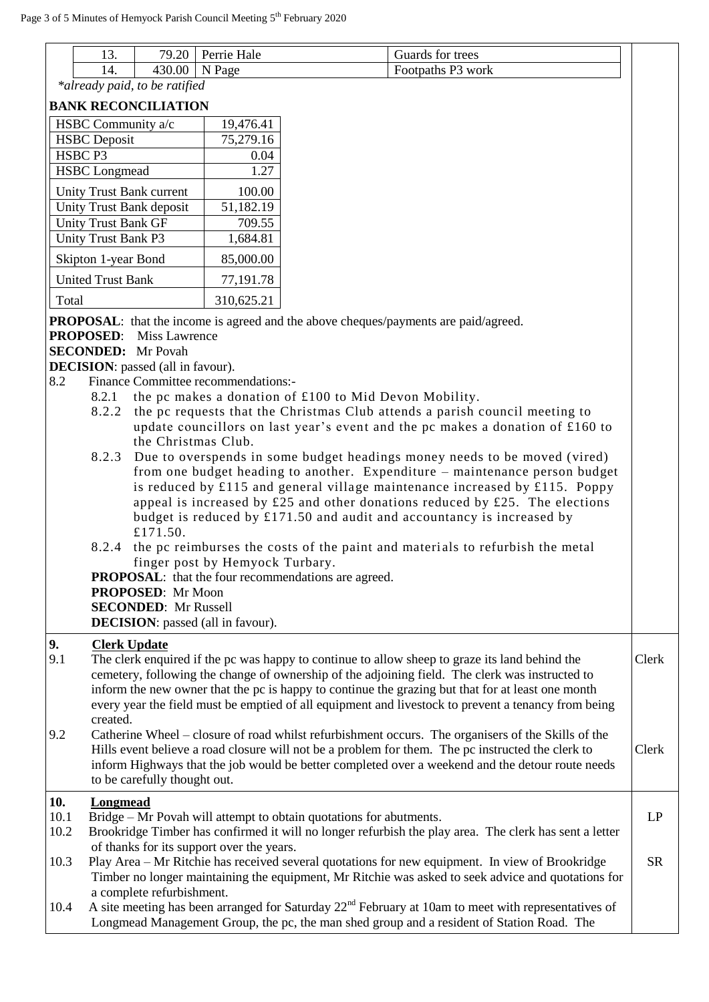|       | 1 ^<br>19. | 79.20  | Perrie Hale | Guards for trees  |
|-------|------------|--------|-------------|-------------------|
|       | 14.        | 430.00 | N Page      | Footpaths P3 work |
| $*al$ |            |        |             |                   |

*\*already paid, to be ratified*

#### **BANK RECONCILIATION**

| HSBC Community a/c         | 19,476.41  |
|----------------------------|------------|
| <b>HSBC</b> Deposit        | 75,279.16  |
| HSBC <sub>P3</sub>         | 0.04       |
| <b>HSBC</b> Longmead       | 1.27       |
| Unity Trust Bank current   | 100.00     |
| Unity Trust Bank deposit   | 51,182.19  |
| <b>Unity Trust Bank GF</b> | 709.55     |
| Unity Trust Bank P3        | 1,684.81   |
| Skipton 1-year Bond        | 85,000.00  |
| <b>United Trust Bank</b>   | 77,191.78  |
| Total                      | 310,625.21 |

**PROPOSAL:** that the income is agreed and the above cheques/payments are paid/agreed.

**PROPOSED**: Miss Lawrence

### **SECONDED:** Mr Povah

**DECISION**: passed (all in favour).

- 8.2 Finance Committee recommendations:-
	- 8.2.1 the pc makes a donation of £100 to Mid Devon Mobility.
	- 8.2.2 the pc requests that the Christmas Club attends a parish council meeting to update councillors on last year's event and the pc makes a donation of £160 to the Christmas Club.
	- 8.2.3 Due to overspends in some budget headings money needs to be moved (vired) from one budget heading to another. Expenditure – maintenance person budget is reduced by £115 and general village maintenance increased by £115. Poppy appeal is increased by  $\pounds 25$  and other donations reduced by  $\pounds 25$ . The elections budget is reduced by £171.50 and audit and accountancy is increased by £171.50.
	- 8.2.4 the pc reimburses the costs of the paint and materi als to refurbish the metal finger post by Hemyock Turbary.

**PROPOSAL:** that the four recommendations are agreed.

# **PROPOSED**: Mr Moon

**SECONDED**: Mr Russell

**DECISION**: passed (all in favour).

# **9. Clerk Update**

| 9.1 | The clerk enquired if the pc was happy to continue to allow sheep to graze its land behind the<br>cemetery, following the change of ownership of the adjoining field. The clerk was instructed to<br>inform the new owner that the pc is happy to continue the grazing but that for at least one month<br>every year the field must be emptied of all equipment and livestock to prevent a tenancy from being<br>created. | Clerk |
|-----|---------------------------------------------------------------------------------------------------------------------------------------------------------------------------------------------------------------------------------------------------------------------------------------------------------------------------------------------------------------------------------------------------------------------------|-------|
| 9.2 | Catherine Wheel – closure of road whilst refurbishment occurs. The organisers of the Skills of the<br>Hills event believe a road closure will not be a problem for them. The pc instructed the clerk to<br>inform Highways that the job would be better completed over a weekend and the detour route needs<br>to be carefully thought out.                                                                               | Clerk |

LP

# **10. Longmead**

- $10.1$  Bridge Mr Povah will attempt to obtain quotations for abutments.
- 10.2 Brookridge Timber has confirmed it will no longer refurbish the play area. The clerk has sent a letter of thanks for its support over the years.
- 10.3 Play Area Mr Ritchie has received several quotations for new equipment. In view of Brookridge Timber no longer maintaining the equipment, Mr Ritchie was asked to seek advice and quotations for a complete refurbishment. SR
- 10.4 A site meeting has been arranged for Saturday 22<sup>nd</sup> February at 10am to meet with representatives of Longmead Management Group, the pc, the man shed group and a resident of Station Road. The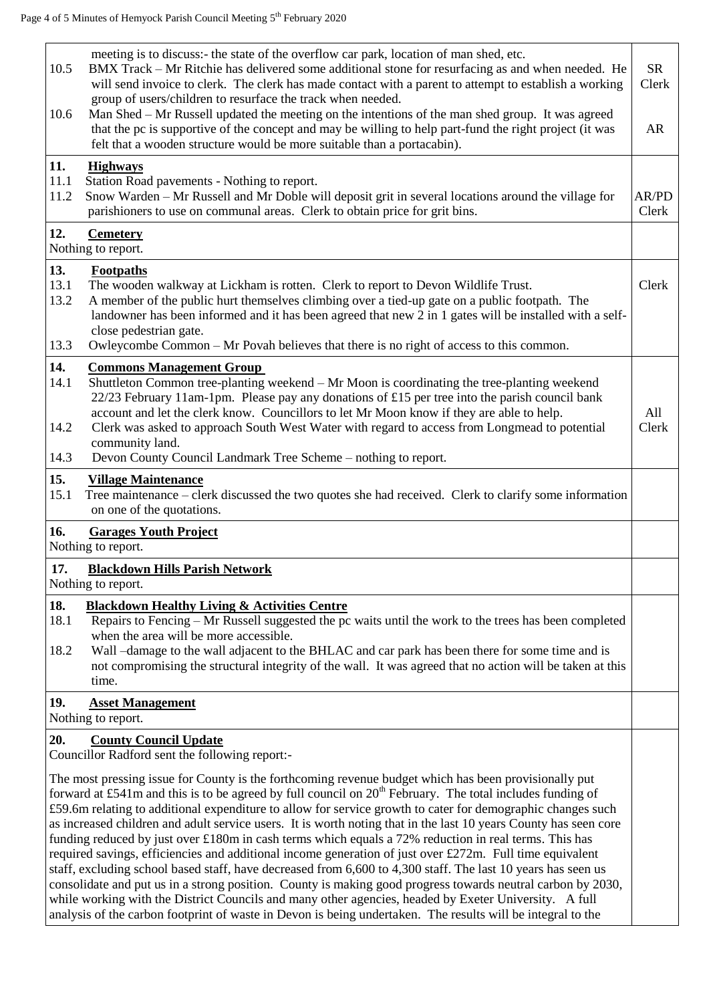| 10.5<br>10.6                | meeting is to discuss:- the state of the overflow car park, location of man shed, etc.<br>BMX Track – Mr Ritchie has delivered some additional stone for resurfacing as and when needed. He<br>will send invoice to clerk. The clerk has made contact with a parent to attempt to establish a working<br>group of users/children to resurface the track when needed.<br>Man Shed – Mr Russell updated the meeting on the intentions of the man shed group. It was agreed<br>that the pc is supportive of the concept and may be willing to help part-fund the right project (it was<br>felt that a wooden structure would be more suitable than a portacabin). | <b>SR</b><br>Clerk<br><b>AR</b> |
|-----------------------------|----------------------------------------------------------------------------------------------------------------------------------------------------------------------------------------------------------------------------------------------------------------------------------------------------------------------------------------------------------------------------------------------------------------------------------------------------------------------------------------------------------------------------------------------------------------------------------------------------------------------------------------------------------------|---------------------------------|
| 11.<br>11.1<br>11.2         | <b>Highways</b><br>Station Road pavements - Nothing to report.<br>Snow Warden – Mr Russell and Mr Doble will deposit grit in several locations around the village for<br>parishioners to use on communal areas. Clerk to obtain price for grit bins.                                                                                                                                                                                                                                                                                                                                                                                                           | AR/PD<br>Clerk                  |
| 12.                         | <b>Cemetery</b><br>Nothing to report.                                                                                                                                                                                                                                                                                                                                                                                                                                                                                                                                                                                                                          |                                 |
| 13.<br>13.1<br>13.2<br>13.3 | <b>Footpaths</b><br>The wooden walkway at Lickham is rotten. Clerk to report to Devon Wildlife Trust.<br>A member of the public hurt themselves climbing over a tied-up gate on a public footpath. The<br>landowner has been informed and it has been agreed that new 2 in 1 gates will be installed with a self-<br>close pedestrian gate.<br>Owleycombe Common – Mr Povah believes that there is no right of access to this common.                                                                                                                                                                                                                          | Clerk                           |
| 14.<br>14.1                 | <b>Commons Management Group</b><br>Shuttleton Common tree-planting weekend – Mr Moon is coordinating the tree-planting weekend                                                                                                                                                                                                                                                                                                                                                                                                                                                                                                                                 |                                 |
| 14.2                        | $22/23$ February 11am-1pm. Please pay any donations of £15 per tree into the parish council bank<br>account and let the clerk know. Councillors to let Mr Moon know if they are able to help.<br>Clerk was asked to approach South West Water with regard to access from Longmead to potential<br>community land.                                                                                                                                                                                                                                                                                                                                              | All<br>Clerk                    |
| 14.3                        | Devon County Council Landmark Tree Scheme – nothing to report.                                                                                                                                                                                                                                                                                                                                                                                                                                                                                                                                                                                                 |                                 |
| 15.<br>15.1                 | <b>Village Maintenance</b><br>Tree maintenance - clerk discussed the two quotes she had received. Clerk to clarify some information<br>on one of the quotations.                                                                                                                                                                                                                                                                                                                                                                                                                                                                                               |                                 |
| 16.                         | <b>Garages Youth Project</b><br>Nothing to report.                                                                                                                                                                                                                                                                                                                                                                                                                                                                                                                                                                                                             |                                 |
| 17.                         | <b>Blackdown Hills Parish Network</b>                                                                                                                                                                                                                                                                                                                                                                                                                                                                                                                                                                                                                          |                                 |
|                             |                                                                                                                                                                                                                                                                                                                                                                                                                                                                                                                                                                                                                                                                |                                 |
|                             | Nothing to report.                                                                                                                                                                                                                                                                                                                                                                                                                                                                                                                                                                                                                                             |                                 |
| 18.<br>18.1                 | <b>Blackdown Healthy Living &amp; Activities Centre</b><br>Repairs to Fencing – Mr Russell suggested the pc waits until the work to the trees has been completed<br>when the area will be more accessible.                                                                                                                                                                                                                                                                                                                                                                                                                                                     |                                 |
| 18.2                        | Wall -damage to the wall adjacent to the BHLAC and car park has been there for some time and is<br>not compromising the structural integrity of the wall. It was agreed that no action will be taken at this<br>time.                                                                                                                                                                                                                                                                                                                                                                                                                                          |                                 |
| 19.                         | <b>Asset Management</b><br>Nothing to report.                                                                                                                                                                                                                                                                                                                                                                                                                                                                                                                                                                                                                  |                                 |
| 20.                         | <b>County Council Update</b><br>Councillor Radford sent the following report:-                                                                                                                                                                                                                                                                                                                                                                                                                                                                                                                                                                                 |                                 |